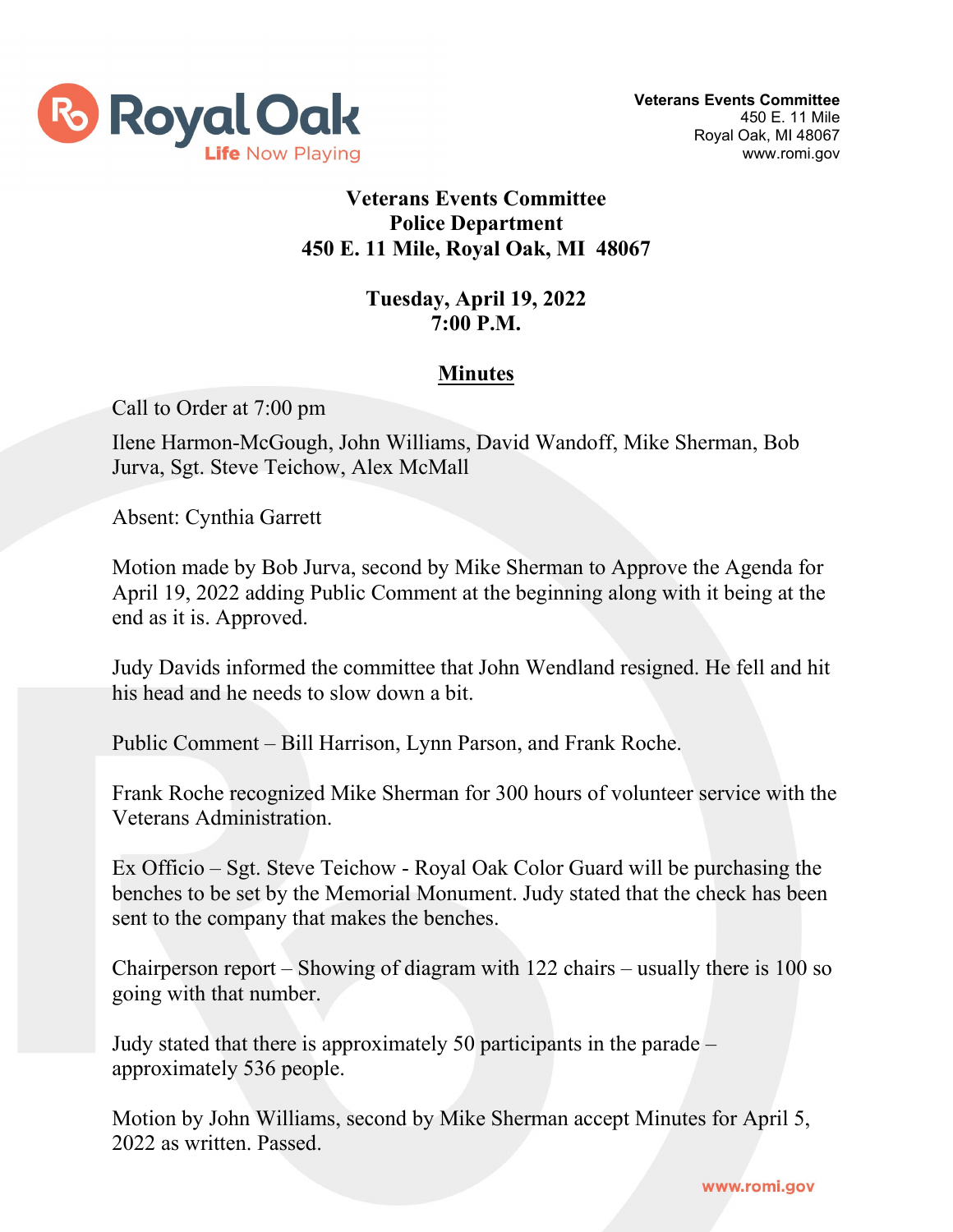

## **Veterans Events Committee Police Department 450 E. 11 Mile, Royal Oak, MI 48067**

## **Tuesday, April 19, 2022 7:00 P.M.**

## **Minutes**

Call to Order at 7:00 pm

Ilene Harmon-McGough, John Williams, David Wandoff, Mike Sherman, Bob Jurva, Sgt. Steve Teichow, Alex McMall

Absent: Cynthia Garrett

Motion made by Bob Jurva, second by Mike Sherman to Approve the Agenda for April 19, 2022 adding Public Comment at the beginning along with it being at the end as it is. Approved.

Judy Davids informed the committee that John Wendland resigned. He fell and hit his head and he needs to slow down a bit.

Public Comment – Bill Harrison, Lynn Parson, and Frank Roche.

Frank Roche recognized Mike Sherman for 300 hours of volunteer service with the Veterans Administration.

Ex Officio – Sgt. Steve Teichow - Royal Oak Color Guard will be purchasing the benches to be set by the Memorial Monument. Judy stated that the check has been sent to the company that makes the benches.

Chairperson report – Showing of diagram with 122 chairs – usually there is 100 so going with that number.

Judy stated that there is approximately 50 participants in the parade – approximately 536 people.

Motion by John Williams, second by Mike Sherman accept Minutes for April 5, 2022 as written. Passed.